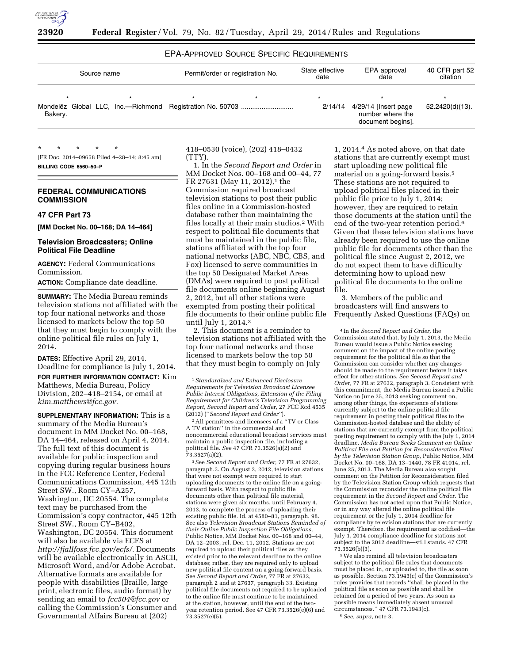

# EPA-APPROVED SOURCE SPECIFIC REQUIREMENTS

| Source name | Permit/order or registration No. |         | State effective<br>date | EPA approval<br>date                                          | 40 CFR part 52<br>citation |
|-------------|----------------------------------|---------|-------------------------|---------------------------------------------------------------|----------------------------|
| Bakery.     |                                  | $\star$ | $\star$<br>2/14/14      | 4/29/14 [Insert page<br>number where the<br>document begins]. | 52.2420(d)(13).            |

\* \* \* \* \* [FR Doc. 2014–09658 Filed 4–28–14; 8:45 am] **BILLING CODE 6560–50–P** 

### **FEDERAL COMMUNICATIONS COMMISSION**

#### **47 CFR Part 73**

**[MM Docket No. 00–168; DA 14–464]** 

#### **Television Broadcasters; Online Political File Deadline**

**AGENCY:** Federal Communications Commission.

**ACTION:** Compliance date deadline.

**SUMMARY:** The Media Bureau reminds television stations not affiliated with the top four national networks and those licensed to markets below the top 50 that they must begin to comply with the online political file rules on July 1, 2014.

**DATES:** Effective April 29, 2014. Deadline for compliance is July 1, 2014. **FOR FURTHER INFORMATION CONTACT:** Kim Matthews, Media Bureau, Policy Division, 202–418–2154, or email at *[kim.matthews@fcc.gov.](mailto:kim.matthews@fcc.gov)* 

**SUPPLEMENTARY INFORMATION:** This is a summary of the Media Bureau's document in MM Docket No. 00–168, DA 14–464, released on April 4, 2014. The full text of this document is available for public inspection and copying during regular business hours in the FCC Reference Center, Federal Communications Commission, 445 12th Street SW., Room CY–A257, Washington, DC 20554. The complete text may be purchased from the Commission's copy contractor, 445 12th Street SW., Room CY–B402, Washington, DC 20554. This document will also be available via ECFS at *[http://fjallfoss.fcc.gov/ecfs/.](http://fjallfoss.fcc.gov/ecfs/)* Documents will be available electronically in ASCII, Microsoft Word, and/or Adobe Acrobat. Alternative formats are available for people with disabilities (Braille, large print, electronic files, audio format) by sending an email to *[fcc504@fcc.gov](mailto:fcc504@fcc.gov)* or calling the Commission's Consumer and Governmental Affairs Bureau at (202)

418–0530 (voice), (202) 418–0432 (TTY).

1. In the *Second Report and Order* in MM Docket Nos. 00–168 and 00–44, 77 FR 27631 (May 11, 2012),<sup>1</sup> the Commission required broadcast television stations to post their public files online in a Commission-hosted database rather than maintaining the files locally at their main studios.2 With respect to political file documents that must be maintained in the public file, stations affiliated with the top four national networks (ABC, NBC, CBS, and Fox) licensed to serve communities in the top 50 Designated Market Areas (DMAs) were required to post political file documents online beginning August 2, 2012, but all other stations were exempted from posting their political file documents to their online public file until July 1, 2014.3

2. This document is a reminder to television stations not affiliated with the top four national networks and those licensed to markets below the top 50 that they must begin to comply on July

2All permittees and licensees of a ''TV or Class A TV station'' in the commercial and noncommercial educational broadcast services must maintain a public inspection file, including a political file. *See* 47 CFR 73.3526(a)(2) and 73.3527(a)(2).

3See *Second Report and Order,* 77 FR at 27632, paragraph.3. On August 2, 2012, television stations that were not exempt were required to start uploading documents to the online file on a goingforward basis. With respect to public file documents other than political file material, stations were given six months, until February 4, 2013, to complete the process of uploading their existing public file. Id. at 4580–81, paragraph. 98. See also *Television Broadcast Stations Reminded of their Online Public Inspection File Obligations,*  Public Notice, MM Docket Nos. 00–168 and 00–44, DA 12–2003, rel. Dec. 11, 2012. Stations are not required to upload their political files as they existed prior to the relevant deadline to the online database; rather, they are required only to upload new political file content on a going-forward basis. See *Second Report and Order,* 77 FR at 27632, paragraph 2 and at 27637, paragraph 33. Existing political file documents not required to be uploaded to the online file must continue to be maintained at the station, however, until the end of the twoyear retention period. See 47 CFR 73.3526(e)(6) and 73.3527(e)(5).

1, 2014.4 As noted above, on that date stations that are currently exempt must start uploading new political file material on a going-forward basis.5 These stations are not required to upload political files placed in their public file prior to July 1, 2014; however, they are required to retain those documents at the station until the end of the two-year retention period.6 Given that these television stations have already been required to use the online public file for documents other than the political file since August 2, 2012, we do not expect them to have difficulty determining how to upload new political file documents to the online file.

3. Members of the public and broadcasters will find answers to Frequently Asked Questions (FAQs) on

4 In the *Second Report and Order,* the Commission stated that, by July 1, 2013, the Media Bureau would issue a Public Notice seeking comment on the impact of the online posting requirement for the political file so that the Commission can consider whether any changes should be made to the requirement before it takes effect for other stations. See *Second Report and Order,* 77 FR at 27632, paragraph 3. Consistent with this commitment, the Media Bureau issued a Public Notice on June 25, 2013 seeking comment on, among other things, the experience of stations currently subject to the online political file requirement in posting their political files to the Commission-hosted database and the ability of stations that are currently exempt from the political posting requirement to comply with the July 1, 2014 deadline. *Media Bureau Seeks Comment on Online Political File and Petition for Reconsideration Filed by the Television Station Group,* Public Notice, MM Docket No. 00–168, DA 13–1440, 78 FR 41014, rel. June 25, 2013. The Media Bureau also sought comment on the Petition for Reconsideration filed by the Television Station Group which requests that the Commission reconsider the online political file requirement in the *Second Report and Order.* The Commission has not acted upon that Public Notice, or in any way altered the online political file requirement or the July 1, 2014 deadline for compliance by television stations that are currently exempt. Therefore, the requirement as codified—the July 1, 2014 compliance deadline for stations not subject to the 2012 deadline—still stands. 47 CFR 73.3526(b)(3).

5We also remind all television broadcasters subject to the political file rules that documents must be placed in, or uploaded to, the file as soon as possible. Section 73.1943(c) of the Commission's rules provides that records ''shall be placed in the political file as soon as possible and shall be retained for a period of two years. As soon as possible means immediately absent unusual circumstances.'' 47 CFR 73.1943(c). 6*See, supra*, note 3.

<sup>1</sup>*Standardized and Enhanced Disclosure Requirements for Television Broadcast Licensee Public Interest Obligations, Extension of the Filing Requirement for Children's Television Programming Report, Second Report and Order*, 27 FCC Rcd 4535 (2012) (''*Second Report and Order''*).